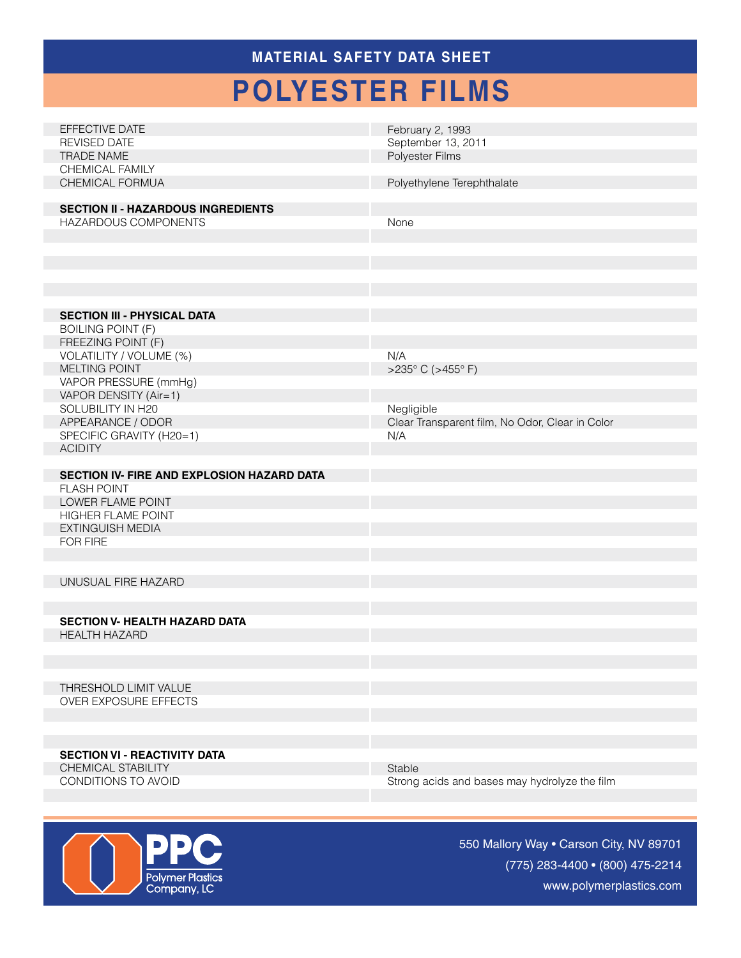### **MATERIAL SAFETY Data Sheet**

# **polyester films**

| February 2, 1993                                        |
|---------------------------------------------------------|
| September 13, 2011                                      |
| Polyester Films                                         |
|                                                         |
|                                                         |
| Polyethylene Terephthalate                              |
|                                                         |
|                                                         |
| None                                                    |
|                                                         |
|                                                         |
|                                                         |
|                                                         |
|                                                         |
|                                                         |
|                                                         |
|                                                         |
|                                                         |
|                                                         |
| N/A                                                     |
| >235°C (>455°F)                                         |
|                                                         |
|                                                         |
| Negligible                                              |
|                                                         |
| Clear Transparent film, No Odor, Clear in Color         |
|                                                         |
| N/A                                                     |
|                                                         |
|                                                         |
|                                                         |
|                                                         |
|                                                         |
|                                                         |
|                                                         |
|                                                         |
|                                                         |
|                                                         |
|                                                         |
|                                                         |
|                                                         |
|                                                         |
|                                                         |
|                                                         |
|                                                         |
|                                                         |
|                                                         |
|                                                         |
|                                                         |
|                                                         |
|                                                         |
|                                                         |
|                                                         |
|                                                         |
|                                                         |
| Stable<br>Strong acids and bases may hydrolyze the film |
|                                                         |



550 Mallory Way • Carson City, NV 89701 (775) 283-4400 • (800) 475-2214 www.polymerplastics.com